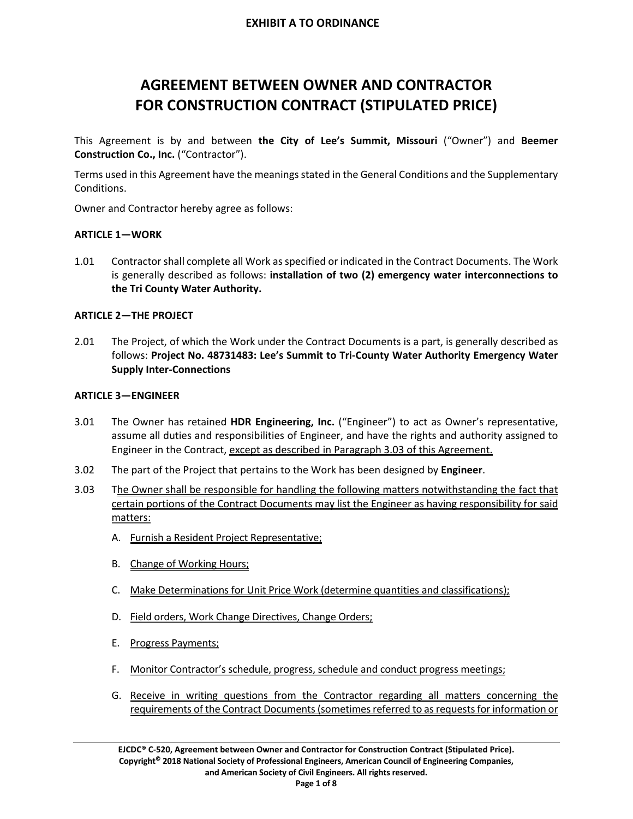# **AGREEMENT BETWEEN OWNER AND CONTRACTOR FOR CONSTRUCTION CONTRACT (STIPULATED PRICE)**

This Agreement is by and between **the City of Lee's Summit, Missouri** ("Owner") and **Beemer Construction Co., Inc.** ("Contractor").

Terms used in this Agreement have the meaningsstated in the General Conditions and the Supplementary Conditions.

Owner and Contractor hereby agree as follows:

## **ARTICLE 1—WORK**

1.01 Contractorshall complete all Work asspecified or indicated in the Contract Documents. The Work is generally described as follows: **installation of two (2) emergency water interconnections to the Tri County Water Authority.**

#### **ARTICLE 2—THE PROJECT**

2.01 The Project, of which the Work under the Contract Documents is a part, is generally described as follows: **Project No. 48731483: Lee's Summit to Tri‐County Water Authority Emergency Water Supply Inter‐Connections**

#### **ARTICLE 3—ENGINEER**

- 3.01 The Owner has retained **HDR Engineering, Inc.** ("Engineer") to act as Owner's representative, assume all duties and responsibilities of Engineer, and have the rights and authority assigned to Engineer in the Contract, except as described in Paragraph 3.03 of this Agreement.
- 3.02 The part of the Project that pertains to the Work has been designed by **Engineer**.
- 3.03 The Owner shall be responsible for handling the following matters notwithstanding the fact that certain portions of the Contract Documents may list the Engineer as having responsibility for said matters:
	- A. Furnish a Resident Project Representative;
	- B. Change of Working Hours;
	- C. Make Determinations for Unit Price Work (determine quantities and classifications);
	- D. Field orders, Work Change Directives, Change Orders;
	- E. Progress Payments;
	- F. Monitor Contractor's schedule, progress, schedule and conduct progress meetings;
	- G. Receive in writing questions from the Contractor regarding all matters concerning the requirements of the Contract Documents (sometimes referred to as requests for information or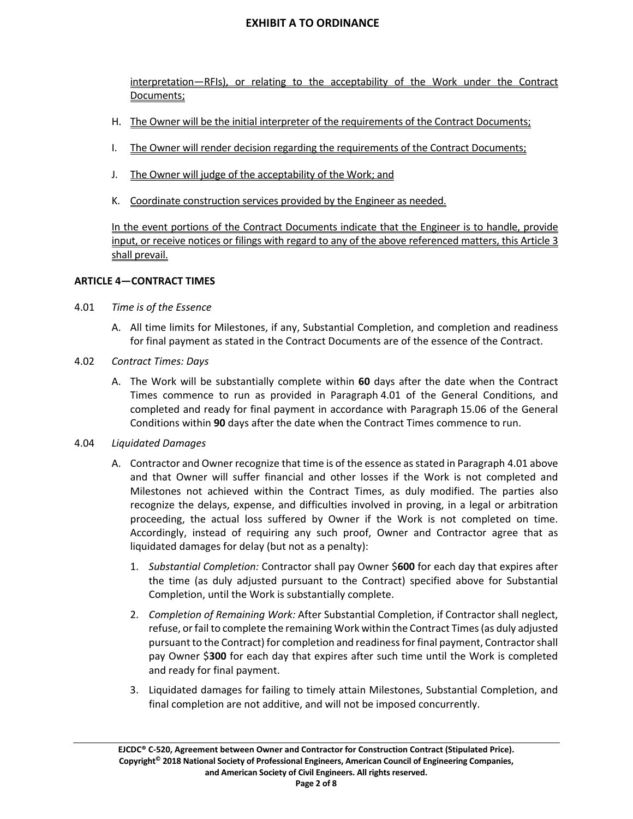interpretation—RFIs), or relating to the acceptability of the Work under the Contract Documents;

- H. The Owner will be the initial interpreter of the requirements of the Contract Documents;
- I. The Owner will render decision regarding the requirements of the Contract Documents;
- J. The Owner will judge of the acceptability of the Work; and
- K. Coordinate construction services provided by the Engineer as needed.

In the event portions of the Contract Documents indicate that the Engineer is to handle, provide input, or receive notices or filings with regard to any of the above referenced matters, this Article 3 shall prevail.

## **ARTICLE 4—CONTRACT TIMES**

- 4.01 *Time is of the Essence*
	- A. All time limits for Milestones, if any, Substantial Completion, and completion and readiness for final payment as stated in the Contract Documents are of the essence of the Contract.
- 4.02 *Contract Times: Days*
	- A. The Work will be substantially complete within **60** days after the date when the Contract Times commence to run as provided in Paragraph 4.01 of the General Conditions, and completed and ready for final payment in accordance with Paragraph 15.06 of the General Conditions within **90** days after the date when the Contract Times commence to run.
- 4.04 *Liquidated Damages*
	- A. Contractor and Owner recognize that time is of the essence asstated in Paragraph 4.01 above and that Owner will suffer financial and other losses if the Work is not completed and Milestones not achieved within the Contract Times, as duly modified. The parties also recognize the delays, expense, and difficulties involved in proving, in a legal or arbitration proceeding, the actual loss suffered by Owner if the Work is not completed on time. Accordingly, instead of requiring any such proof, Owner and Contractor agree that as liquidated damages for delay (but not as a penalty):
		- 1. *Substantial Completion:* Contractor shall pay Owner \$**600** for each day that expires after the time (as duly adjusted pursuant to the Contract) specified above for Substantial Completion, until the Work is substantially complete.
		- 2. *Completion of Remaining Work:* After Substantial Completion, if Contractor shall neglect, refuse, orfail to complete the remaining Work within the Contract Times(as duly adjusted pursuant to the Contract) for completion and readinessforfinal payment, Contractorshall pay Owner \$**300** for each day that expires after such time until the Work is completed and ready for final payment.
		- 3. Liquidated damages for failing to timely attain Milestones, Substantial Completion, and final completion are not additive, and will not be imposed concurrently.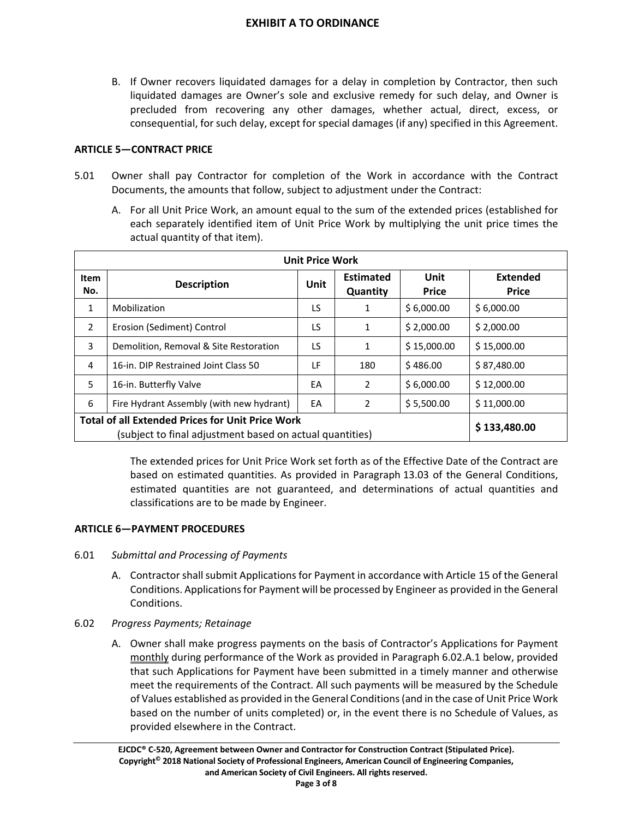B. If Owner recovers liquidated damages for a delay in completion by Contractor, then such liquidated damages are Owner's sole and exclusive remedy for such delay, and Owner is precluded from recovering any other damages, whether actual, direct, excess, or consequential, for such delay, except for special damages (if any) specified in this Agreement.

## **ARTICLE 5—CONTRACT PRICE**

- 5.01 Owner shall pay Contractor for completion of the Work in accordance with the Contract Documents, the amounts that follow, subject to adjustment under the Contract:
	- A. For all Unit Price Work, an amount equal to the sum of the extended prices (established for each separately identified item of Unit Price Work by multiplying the unit price times the actual quantity of that item).

| <b>Unit Price Work</b>                                  |                                          |      |                              |                             |                                 |  |
|---------------------------------------------------------|------------------------------------------|------|------------------------------|-----------------------------|---------------------------------|--|
| <b>Item</b><br>No.                                      | <b>Description</b>                       | Unit | <b>Estimated</b><br>Quantity | <b>Unit</b><br><b>Price</b> | <b>Extended</b><br><b>Price</b> |  |
| 1                                                       | Mobilization                             | LS   | 1                            | \$6,000.00                  | \$6,000.00                      |  |
| 2                                                       | Erosion (Sediment) Control               | LS   | 1                            | \$2,000.00                  | \$2,000.00                      |  |
| 3                                                       | Demolition, Removal & Site Restoration   | LS   | 1                            | \$15,000.00                 | \$15,000.00                     |  |
| 4                                                       | 16-in. DIP Restrained Joint Class 50     | ΙF   | 180                          | \$486.00                    | \$87,480.00                     |  |
| 5                                                       | 16-in. Butterfly Valve                   | EA   | 2                            | \$6,000.00                  | \$12,000.00                     |  |
| 6                                                       | Fire Hydrant Assembly (with new hydrant) | EA   | 2                            | \$5,500.00                  | \$11,000.00                     |  |
| <b>Total of all Extended Prices for Unit Price Work</b> | \$133,480.00                             |      |                              |                             |                                 |  |

The extended prices for Unit Price Work set forth as of the Effective Date of the Contract are based on estimated quantities. As provided in Paragraph 13.03 of the General Conditions, estimated quantities are not guaranteed, and determinations of actual quantities and classifications are to be made by Engineer.

## **ARTICLE 6—PAYMENT PROCEDURES**

- 6.01 *Submittal and Processing of Payments*
	- A. Contractor shall submit Applications for Payment in accordance with Article 15 of the General Conditions. Applicationsfor Payment will be processed by Engineer as provided in the General Conditions.
- 6.02 *Progress Payments; Retainage*
	- A. Owner shall make progress payments on the basis of Contractor's Applications for Payment monthly during performance of the Work as provided in Paragraph 6.02.A.1 below, provided that such Applications for Payment have been submitted in a timely manner and otherwise meet the requirements of the Contract. All such payments will be measured by the Schedule of Values established as provided in the General Conditions(and in the case of Unit Price Work based on the number of units completed) or, in the event there is no Schedule of Values, as provided elsewhere in the Contract.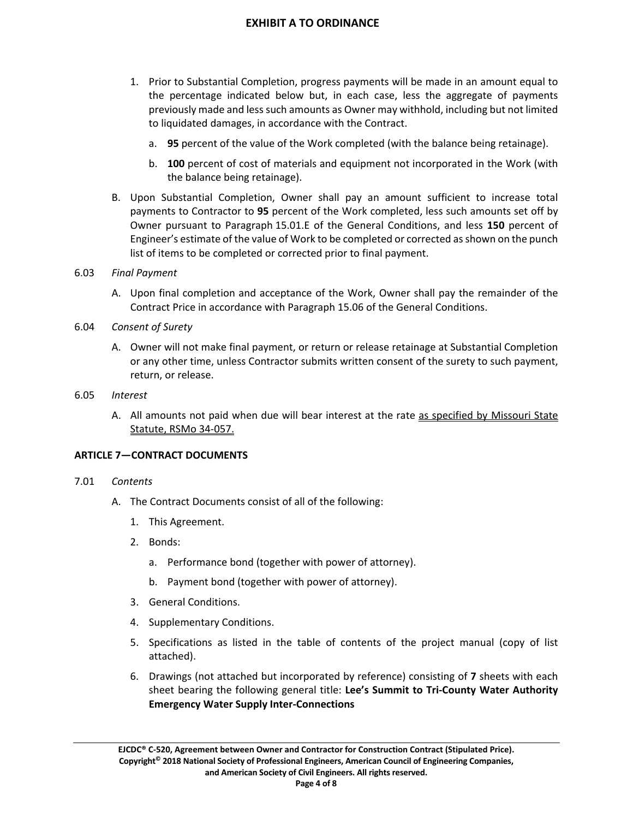- 1. Prior to Substantial Completion, progress payments will be made in an amount equal to the percentage indicated below but, in each case, less the aggregate of payments previously made and lesssuch amounts as Owner may withhold, including but not limited to liquidated damages, in accordance with the Contract.
	- a. **95** percent of the value of the Work completed (with the balance being retainage).
	- b. **100** percent of cost of materials and equipment not incorporated in the Work (with the balance being retainage).
- B. Upon Substantial Completion, Owner shall pay an amount sufficient to increase total payments to Contractor to **95** percent of the Work completed, less such amounts set off by Owner pursuant to Paragraph 15.01.E of the General Conditions, and less **150** percent of Engineer's estimate of the value of Work to be completed or corrected asshown on the punch list of items to be completed or corrected prior to final payment.

#### 6.03 *Final Payment*

- A. Upon final completion and acceptance of the Work, Owner shall pay the remainder of the Contract Price in accordance with Paragraph 15.06 of the General Conditions.
- 6.04 *Consent of Surety*
	- A. Owner will not make final payment, or return or release retainage at Substantial Completion or any other time, unless Contractor submits written consent of the surety to such payment, return, or release.
- 6.05 *Interest*
	- A. All amounts not paid when due will bear interest at the rate as specified by Missouri State Statute, RSMo 34‐057.

## **ARTICLE 7—CONTRACT DOCUMENTS**

#### 7.01 *Contents*

- A. The Contract Documents consist of all of the following:
	- 1. This Agreement.
	- 2. Bonds:
		- a. Performance bond (together with power of attorney).
		- b. Payment bond (together with power of attorney).
	- 3. General Conditions.
	- 4. Supplementary Conditions.
	- 5. Specifications as listed in the table of contents of the project manual (copy of list attached).
	- 6. Drawings (not attached but incorporated by reference) consisting of **7** sheets with each sheet bearing the following general title: **Lee's Summit to Tri‐County Water Authority Emergency Water Supply Inter‐Connections**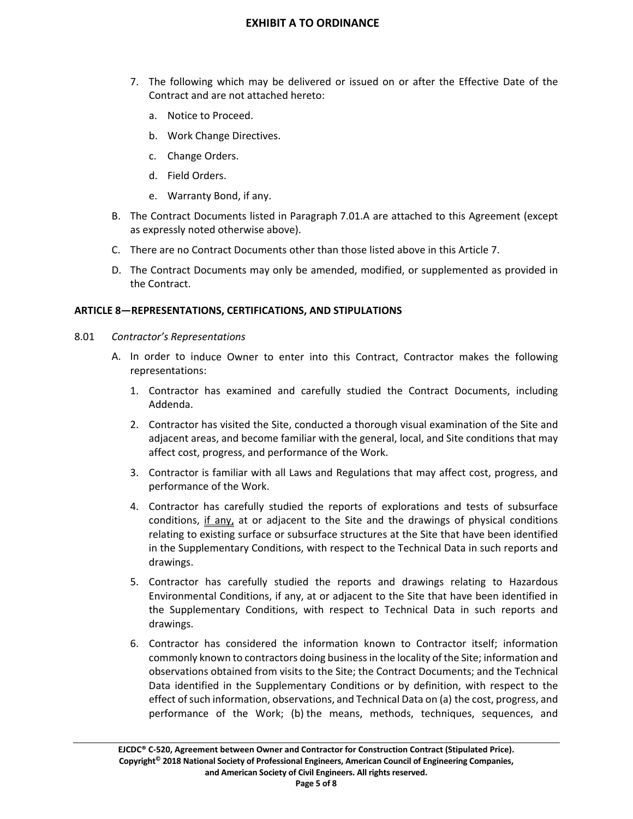- 7. The following which may be delivered or issued on or after the Effective Date of the Contract and are not attached hereto:
	- a. Notice to Proceed.
	- b. Work Change Directives.
	- c. Change Orders.
	- d. Field Orders.
	- e. Warranty Bond, if any.
- B. The Contract Documents listed in Paragraph 7.01.A are attached to this Agreement (except as expressly noted otherwise above).
- C. There are no Contract Documents other than those listed above in this Article 7.
- D. The Contract Documents may only be amended, modified, or supplemented as provided in the Contract.

## **ARTICLE 8—REPRESENTATIONS, CERTIFICATIONS, AND STIPULATIONS**

- 8.01 *Contractor's Representations*
	- A. In order to induce Owner to enter into this Contract, Contractor makes the following representations:
		- 1. Contractor has examined and carefully studied the Contract Documents, including Addenda.
		- 2. Contractor has visited the Site, conducted a thorough visual examination of the Site and adjacent areas, and become familiar with the general, local, and Site conditions that may affect cost, progress, and performance of the Work.
		- 3. Contractor is familiar with all Laws and Regulations that may affect cost, progress, and performance of the Work.
		- 4. Contractor has carefully studied the reports of explorations and tests of subsurface conditions, if any, at or adjacent to the Site and the drawings of physical conditions relating to existing surface or subsurface structures at the Site that have been identified in the Supplementary Conditions, with respect to the Technical Data in such reports and drawings.
		- 5. Contractor has carefully studied the reports and drawings relating to Hazardous Environmental Conditions, if any, at or adjacent to the Site that have been identified in the Supplementary Conditions, with respect to Technical Data in such reports and drawings.
		- 6. Contractor has considered the information known to Contractor itself; information commonly known to contractors doing businessin the locality of the Site; information and observations obtained from visits to the Site; the Contract Documents; and the Technical Data identified in the Supplementary Conditions or by definition, with respect to the effect of such information, observations, and Technical Data on (a) the cost, progress, and performance of the Work; (b) the means, methods, techniques, sequences, and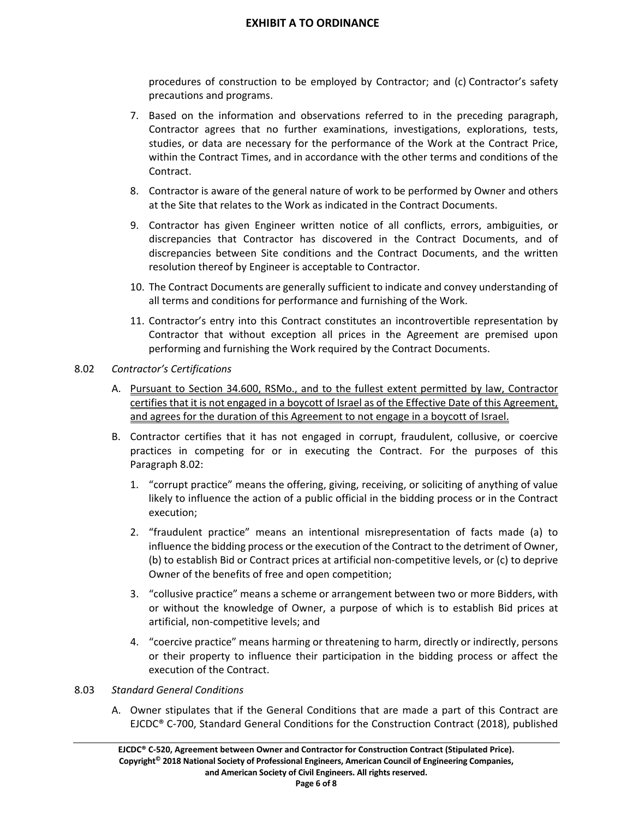procedures of construction to be employed by Contractor; and (c) Contractor's safety precautions and programs.

- 7. Based on the information and observations referred to in the preceding paragraph, Contractor agrees that no further examinations, investigations, explorations, tests, studies, or data are necessary for the performance of the Work at the Contract Price, within the Contract Times, and in accordance with the other terms and conditions of the Contract.
- 8. Contractor is aware of the general nature of work to be performed by Owner and others at the Site that relates to the Work as indicated in the Contract Documents.
- 9. Contractor has given Engineer written notice of all conflicts, errors, ambiguities, or discrepancies that Contractor has discovered in the Contract Documents, and of discrepancies between Site conditions and the Contract Documents, and the written resolution thereof by Engineer is acceptable to Contractor.
- 10. The Contract Documents are generally sufficient to indicate and convey understanding of all terms and conditions for performance and furnishing of the Work.
- 11. Contractor's entry into this Contract constitutes an incontrovertible representation by Contractor that without exception all prices in the Agreement are premised upon performing and furnishing the Work required by the Contract Documents.

#### 8.02 *Contractor's Certifications*

- A. Pursuant to Section 34.600, RSMo., and to the fullest extent permitted by law, Contractor certifies that it is not engaged in a boycott of Israel as of the Effective Date of this Agreement, and agrees for the duration of this Agreement to not engage in a boycott of Israel.
- B. Contractor certifies that it has not engaged in corrupt, fraudulent, collusive, or coercive practices in competing for or in executing the Contract. For the purposes of this Paragraph 8.02:
	- 1. "corrupt practice" means the offering, giving, receiving, or soliciting of anything of value likely to influence the action of a public official in the bidding process or in the Contract execution;
	- 2. "fraudulent practice" means an intentional misrepresentation of facts made (a) to influence the bidding process or the execution of the Contract to the detriment of Owner, (b) to establish Bid or Contract prices at artificial non‐competitive levels, or (c) to deprive Owner of the benefits of free and open competition;
	- 3. "collusive practice" means a scheme or arrangement between two or more Bidders, with or without the knowledge of Owner, a purpose of which is to establish Bid prices at artificial, non‐competitive levels; and
	- 4. "coercive practice" means harming or threatening to harm, directly or indirectly, persons or their property to influence their participation in the bidding process or affect the execution of the Contract.

#### 8.03 *Standard General Conditions*

A. Owner stipulates that if the General Conditions that are made a part of this Contract are EJCDC® C‐700, Standard General Conditions for the Construction Contract (2018), published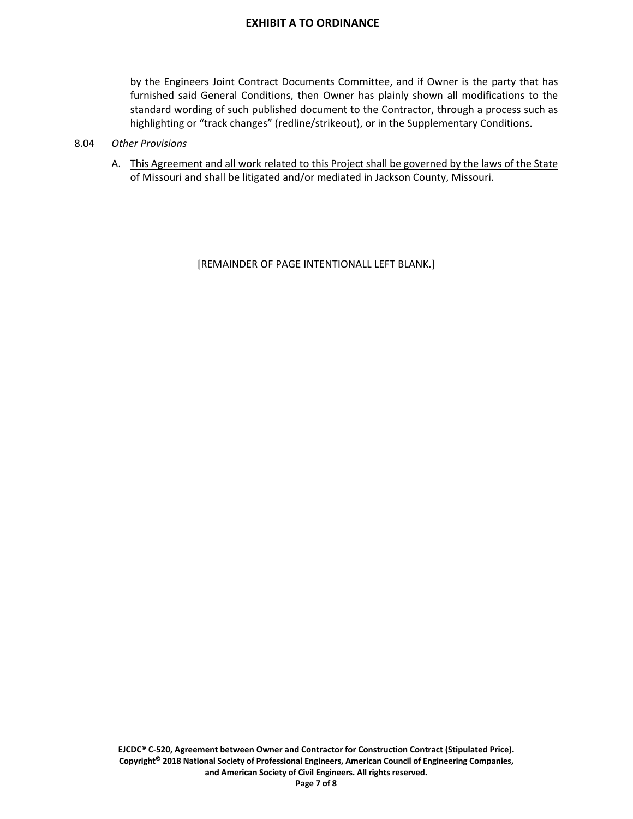by the Engineers Joint Contract Documents Committee, and if Owner is the party that has furnished said General Conditions, then Owner has plainly shown all modifications to the standard wording of such published document to the Contractor, through a process such as highlighting or "track changes" (redline/strikeout), or in the Supplementary Conditions.

#### 8.04 *Other Provisions*

A. This Agreement and all work related to this Project shall be governed by the laws of the State of Missouri and shall be litigated and/or mediated in Jackson County, Missouri.

[REMAINDER OF PAGE INTENTIONALL LEFT BLANK.]